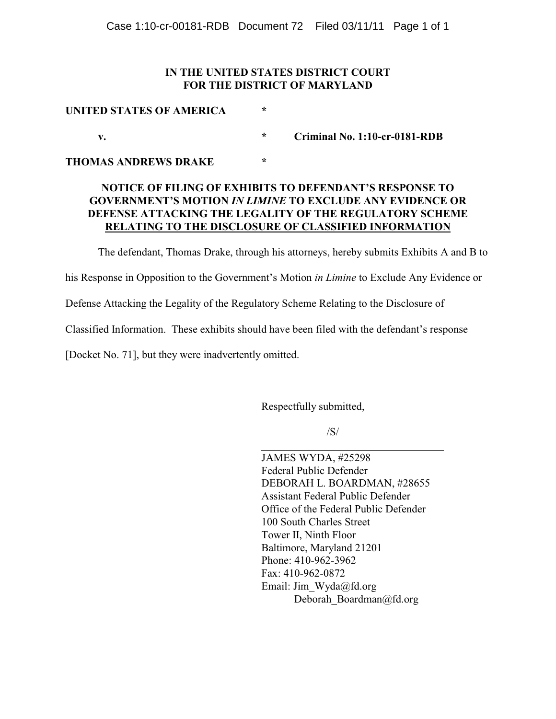## **IN THE UNITED STATES DISTRICT COURT FOR THE DISTRICT OF MARYLAND**

| UNITED STATES OF AMERICA | ÷       |                               |
|--------------------------|---------|-------------------------------|
|                          | $\star$ | Criminal No. 1:10-cr-0181-RDB |

**THOMAS ANDREWS DRAKE \***

## **NOTICE OF FILING OF EXHIBITS TO DEFENDANT'S RESPONSE TO GOVERNMENT'S MOTION** *IN LIMINE* **TO EXCLUDE ANY EVIDENCE OR DEFENSE ATTACKING THE LEGALITY OF THE REGULATORY SCHEME RELATING TO THE DISCLOSURE OF CLASSIFIED INFORMATION**

The defendant, Thomas Drake, through his attorneys, hereby submits Exhibits A and B to

his Response in Opposition to the Government's Motion *in Limine* to Exclude Any Evidence or

Defense Attacking the Legality of the Regulatory Scheme Relating to the Disclosure of

Classified Information. These exhibits should have been filed with the defendant's response

[Docket No. 71], but they were inadvertently omitted.

Respectfully submitted,

/S/

l JAMES WYDA, #25298 Federal Public Defender DEBORAH L. BOARDMAN, #28655 Assistant Federal Public Defender Office of the Federal Public Defender 100 South Charles Street Tower II, Ninth Floor Baltimore, Maryland 21201 Phone: 410-962-3962 Fax: 410-962-0872 Email: Jim\_Wyda@fd.org Deborah Boardman@fd.org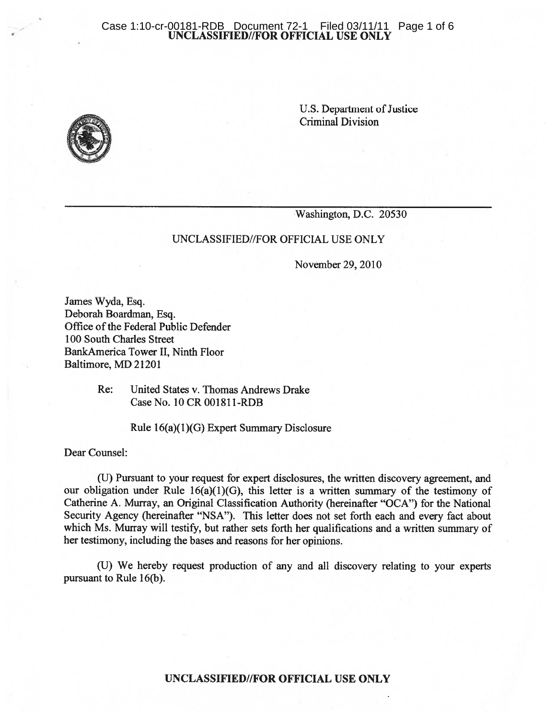# Case 1:10-cr-00181-RDB Document 72-1 Filed 03/11/11 Page 1 of 6<br>UNCLASSIFIED//FOR OFFICIAL USE ONLY



U.S. Department of Justice **Criminal Division** 

Washington, D.C. 20530

## UNCLASSIFIED//FOR OFFICIAL USE ONLY

November 29, 2010

James Wyda, Esq. Deborah Boardman, Esq. Office of the Federal Public Defender 100 South Charles Street BankAmerica Tower II, Ninth Floor Baltimore, MD 21201

> United States v. Thomas Andrews Drake Re: Case No. 10 CR 001811-RDB

> > Rule 16(a)(1)(G) Expert Summary Disclosure

Dear Counsel:

(U) Pursuant to your request for expert disclosures, the written discovery agreement, and our obligation under Rule 16(a)(1)(G), this letter is a written summary of the testimony of Catherine A. Murray, an Original Classification Authority (hereinafter "OCA") for the National Security Agency (hereinafter "NSA"). This letter does not set forth each and every fact about which Ms. Murray will testify, but rather sets forth her qualifications and a written summary of her testimony, including the bases and reasons for her opinions.

(U) We hereby request production of any and all discovery relating to your experts pursuant to Rule 16(b).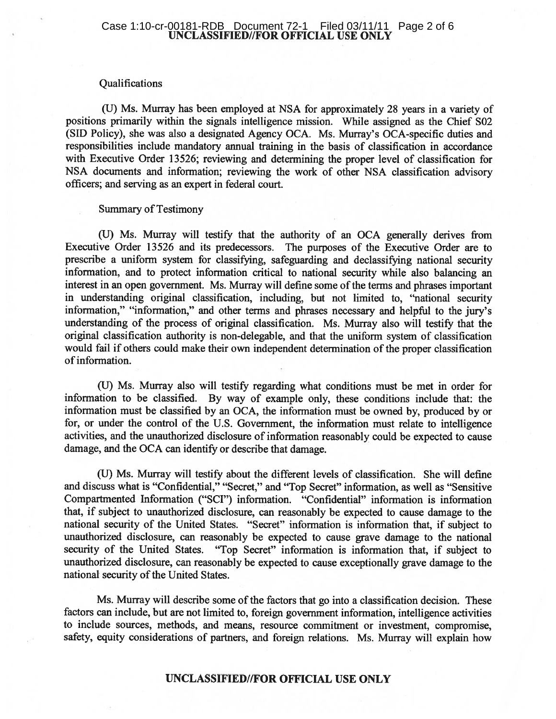# Case 1:10-cr-00181-RDB Document 72-1 Filed 03/11/11 Page 2 of 6<br>UNCLASSIFIED//FOR OFFICIAL USE ONLY

### Qualifications

(U) Ms. Murray has been employed at NSA for approximately 28 years in a variety of positions primarily within the signals intelligence mission. While assigned as the Chief S02 (SID Policy), she was also a designated Agency OCA. Ms. Murray's OCA-specific duties and responsibilities include mandatory annual training in the basis of classification in accordance with Executive Order 13526; reviewing and determining the proper level of classification for NSA documents and information; reviewing the work of other NSA classification advisory officers; and serving as an expert in federal court.

## **Summary of Testimony**

(U) Ms. Murray will testify that the authority of an OCA generally derives from Executive Order 13526 and its predecessors. The purposes of the Executive Order are to prescribe a uniform system for classifying, safeguarding and declassifying national security information, and to protect information critical to national security while also balancing an interest in an open government. Ms. Murray will define some of the terms and phrases important in understanding original classification, including, but not limited to, "national security information," "information," and other terms and phrases necessary and helpful to the jury's understanding of the process of original classification. Ms. Murray also will testify that the original classification authority is non-delegable, and that the uniform system of classification would fail if others could make their own independent determination of the proper classification of information.

(U) Ms. Murray also will testify regarding what conditions must be met in order for information to be classified. By way of example only, these conditions include that: the information must be classified by an OCA, the information must be owned by, produced by or for, or under the control of the U.S. Government, the information must relate to intelligence activities, and the unauthorized disclosure of information reasonably could be expected to cause damage, and the OCA can identify or describe that damage.

(U) Ms. Murray will testify about the different levels of classification. She will define and discuss what is "Confidential," "Secret," and "Top Secret" information, as well as "Sensitive Compartmented Information ("SCI") information. "Confidential" information is information that, if subject to unauthorized disclosure, can reasonably be expected to cause damage to the national security of the United States. "Secret" information is information that, if subject to unauthorized disclosure, can reasonably be expected to cause grave damage to the national security of the United States. "Top Secret" information is information that, if subject to unauthorized disclosure, can reasonably be expected to cause exceptionally grave damage to the national security of the United States.

Ms. Murray will describe some of the factors that go into a classification decision. These factors can include, but are not limited to, foreign government information, intelligence activities to include sources, methods, and means, resource commitment or investment, compromise, safety, equity considerations of partners, and foreign relations. Ms. Murray will explain how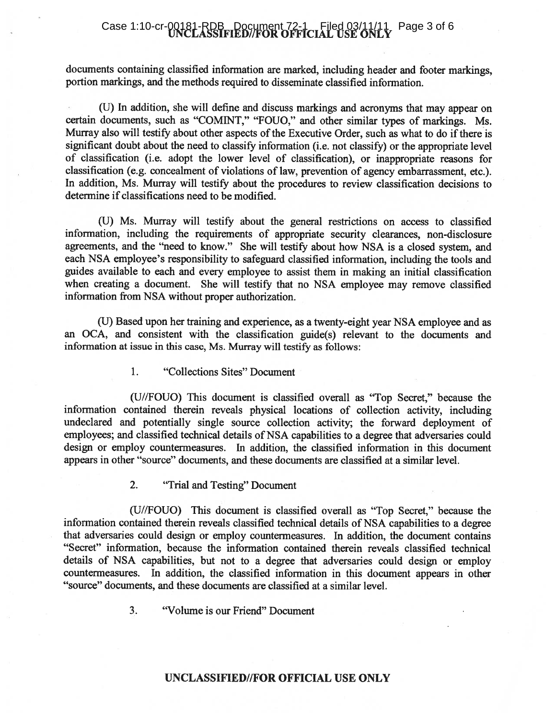## Case 1:10-cr-00181-RDB\_Document 72-1\_Filed 03/11/11\_Page 3 of 6

documents containing classified information are marked, including header and footer markings, portion markings, and the methods required to disseminate classified information.

(U) In addition, she will define and discuss markings and acronyms that may appear on certain documents, such as "COMINT," "FOUO," and other similar types of markings. Ms. Murray also will testify about other aspects of the Executive Order, such as what to do if there is significant doubt about the need to classify information (i.e. not classify) or the appropriate level of classification (i.e. adopt the lower level of classification), or inappropriate reasons for classification (e.g. concealment of violations of law, prevention of agency embarrassment, etc.). In addition, Ms. Murray will testify about the procedures to review classification decisions to determine if classifications need to be modified.

(U) Ms. Murray will testify about the general restrictions on access to classified information, including the requirements of appropriate security clearances, non-disclosure agreements, and the "need to know." She will testify about how NSA is a closed system, and each NSA employee's responsibility to safeguard classified information, including the tools and guides available to each and every employee to assist them in making an initial classification when creating a document. She will testify that no NSA employee may remove classified information from NSA without proper authorization.

(U) Based upon her training and experience, as a twenty-eight year NSA employee and as an OCA, and consistent with the classification guide(s) relevant to the documents and information at issue in this case, Ms. Murray will testify as follows:

> 1. "Collections Sites" Document

(U//FOUO) This document is classified overall as "Top Secret," because the information contained therein reveals physical locations of collection activity, including undeclared and potentially single source collection activity; the forward deployment of employees; and classified technical details of NSA capabilities to a degree that adversaries could design or employ countermeasures. In addition, the classified information in this document appears in other "source" documents, and these documents are classified at a similar level.

#### $2.$ "Trial and Testing" Document

(U//FOUO) This document is classified overall as "Top Secret," because the information contained therein reveals classified technical details of NSA capabilities to a degree that adversaries could design or employ countermeasures. In addition, the document contains "Secret" information, because the information contained therein reveals classified technical details of NSA capabilities, but not to a degree that adversaries could design or employ countermeasures. In addition, the classified information in this document appears in other "source" documents, and these documents are classified at a similar level.

> $3.$ "Volume is our Friend" Document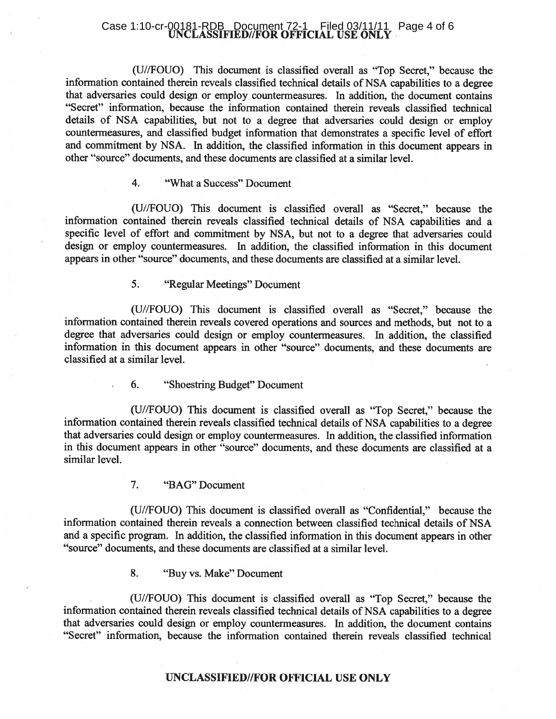# Case 1:10-cr-00181-RDB\_Document 72-1 Filed 03/11/11 Page 4 of 6<br>UNCLASSIFIED//FOR OFFICIAL USE ONLY

(U//FOUO) This document is classified overall as "Top Secret," because the information contained therein reveals classified technical details of NSA capabilities to a degree that adversaries could design or employ countermeasures. In addition, the document contains "Secret" information, because the information contained therein reveals classified technical details of NSA capabilities, but not to a degree that adversaries could design or employ countermeasures, and classified budget information that demonstrates a specific level of effort and commitment by NSA. In addition, the classified information in this document appears in other "source" documents, and these documents are classified at a similar level.

#### $\overline{4}$ . "What a Success" Document

(U//FOUO) This document is classified overall as "Secret," because the information contained therein reveals classified technical details of NSA capabilities and a specific level of effort and commitment by NSA, but not to a degree that adversaries could design or employ countermeasures. In addition, the classified information in this document appears in other "source" documents, and these documents are classified at a similar level.

> 5. "Regular Meetings" Document

(U//FOUO) This document is classified overall as "Secret," because the information contained therein reveals covered operations and sources and methods, but not to a degree that adversaries could design or employ countermeasures. In addition, the classified information in this document appears in other "source" documents, and these documents are classified at a similar level.

> 6. "Shoestring Budget" Document

(U//FOUO) This document is classified overall as "Top Secret," because the information contained therein reveals classified technical details of NSA capabilities to a degree that adversaries could design or employ countermeasures. In addition, the classified information in this document appears in other "source" documents, and these documents are classified at a similar level.

> $7<sub>1</sub>$ "BAG" Document

(U//FOUO) This document is classified overall as "Confidential," because the information contained therein reveals a connection between classified technical details of NSA and a specific program. In addition, the classified information in this document appears in other "source" documents, and these documents are classified at a similar level.

> 8. "Buy vs. Make" Document

(U//FOUO) This document is classified overall as "Top Secret," because the information contained therein reveals classified technical details of NSA capabilities to a degree that adversaries could design or employ countermeasures. In addition, the document contains "Secret" information, because the information contained therein reveals classified technical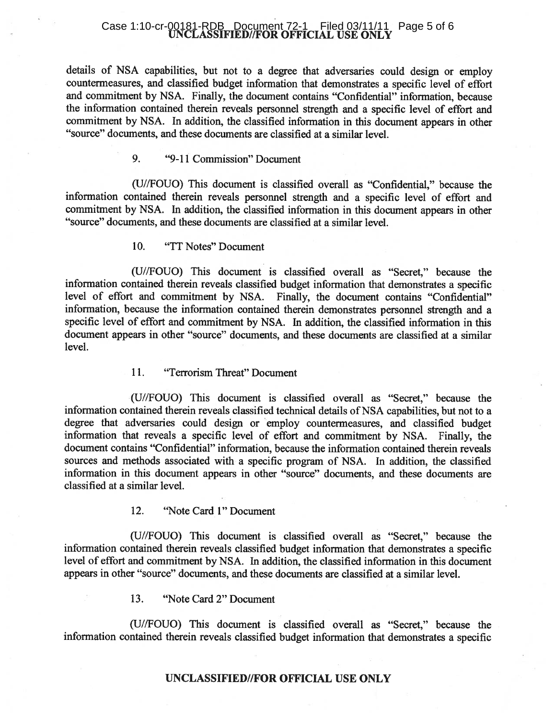# Case 1:10-cr-00181-RDB\_Document 72-1 Filed 03/11/11 Page 5 of 6<br>UNCLASSIFIED//FOR OFFICIAL USE ONLY

details of NSA capabilities, but not to a degree that adversaries could design or employ countermeasures, and classified budget information that demonstrates a specific level of effort and commitment by NSA. Finally, the document contains "Confidential" information, because the information contained therein reveals personnel strength and a specific level of effort and commitment by NSA. In addition, the classified information in this document appears in other "source" documents, and these documents are classified at a similar level.

#### 9. "9-11 Commission" Document

(U//FOUO) This document is classified overall as "Confidential," because the information contained therein reveals personnel strength and a specific level of effort and commitment by NSA. In addition, the classified information in this document appears in other "source" documents, and these documents are classified at a similar level.

#### 10. "TT Notes" Document

(U//FOUO) This document is classified overall as "Secret," because the information contained therein reveals classified budget information that demonstrates a specific level of effort and commitment by NSA. Finally, the document contains "Confidential" information, because the information contained therein demonstrates personnel strength and a specific level of effort and commitment by NSA. In addition, the classified information in this document appears in other "source" documents, and these documents are classified at a similar level.

#### 11. "Terrorism Threat" Document

(U//FOUO) This document is classified overall as "Secret," because the information contained therein reveals classified technical details of NSA capabilities, but not to a degree that adversaries could design or employ countermeasures, and classified budget information that reveals a specific level of effort and commitment by NSA. Finally, the document contains "Confidential" information, because the information contained therein reveals sources and methods associated with a specific program of NSA. In addition, the classified information in this document appears in other "source" documents, and these documents are classified at a similar level.

#### 12. "Note Card 1" Document

(U//FOUO) This document is classified overall as "Secret," because the information contained therein reveals classified budget information that demonstrates a specific level of effort and commitment by NSA. In addition, the classified information in this document appears in other "source" documents, and these documents are classified at a similar level.

#### 13. "Note Card 2" Document

(U//FOUO) This document is classified overall as "Secret," because the information contained therein reveals classified budget information that demonstrates a specific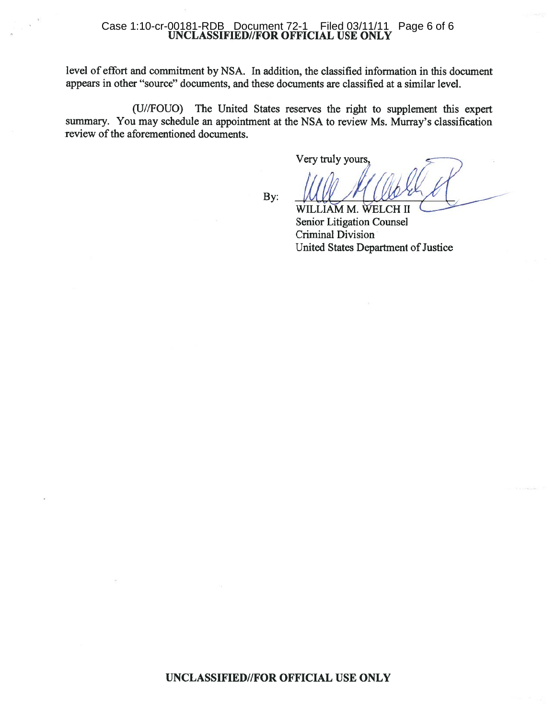## Case 1:10-cr-00181-RDB Document 72-1 Filed 03/11/11<br>UNCLASSIFIED//FOR OFFICIAL USE ONLY Filed 03/11/11 Page 6 of 6

level of effort and commitment by NSA. In addition, the classified information in this document appears in other "source" documents, and these documents are classified at a similar level.

(U//FOUO) The United States reserves the right to supplement this expert summary. You may schedule an appointment at the NSA to review Ms. Murray's classification review of the aforementioned documents.

Very truly yours,

By:

WILLIAM M. WELCH II Senior Litigation Counsel **Criminal Division** United States Department of Justice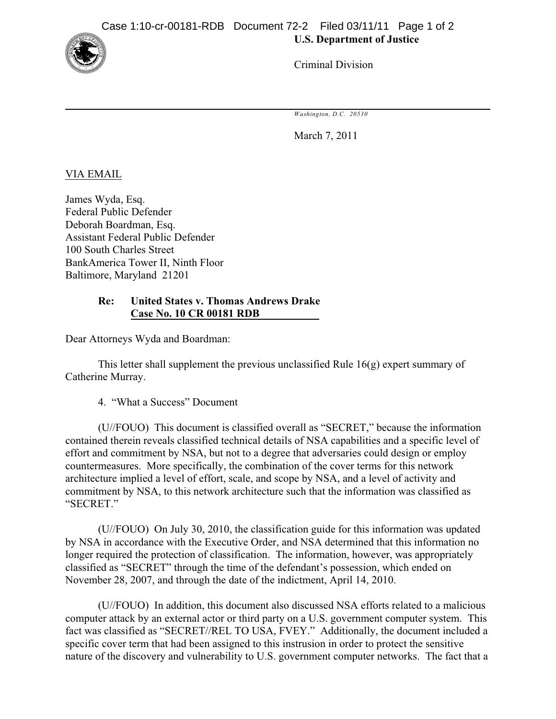

Criminal Division

*Washington, D.C. 20530*

March 7, 2011

VIA EMAIL

James Wyda, Esq. Federal Public Defender Deborah Boardman, Esq. Assistant Federal Public Defender 100 South Charles Street BankAmerica Tower II, Ninth Floor Baltimore, Maryland 21201

## **Re: United States v. Thomas Andrews Drake Case No. 10 CR 00181 RDB**

Dear Attorneys Wyda and Boardman:

This letter shall supplement the previous unclassified Rule  $16(g)$  expert summary of Catherine Murray.

4. "What a Success" Document

(U//FOUO) This document is classified overall as "SECRET," because the information contained therein reveals classified technical details of NSA capabilities and a specific level of effort and commitment by NSA, but not to a degree that adversaries could design or employ countermeasures. More specifically, the combination of the cover terms for this network architecture implied a level of effort, scale, and scope by NSA, and a level of activity and commitment by NSA, to this network architecture such that the information was classified as "SECRET."

(U//FOUO) On July 30, 2010, the classification guide for this information was updated by NSA in accordance with the Executive Order, and NSA determined that this information no longer required the protection of classification. The information, however, was appropriately classified as "SECRET" through the time of the defendant's possession, which ended on November 28, 2007, and through the date of the indictment, April 14, 2010.

(U//FOUO) In addition, this document also discussed NSA efforts related to a malicious computer attack by an external actor or third party on a U.S. government computer system. This fact was classified as "SECRET//REL TO USA, FVEY." Additionally, the document included a specific cover term that had been assigned to this instrusion in order to protect the sensitive nature of the discovery and vulnerability to U.S. government computer networks. The fact that a